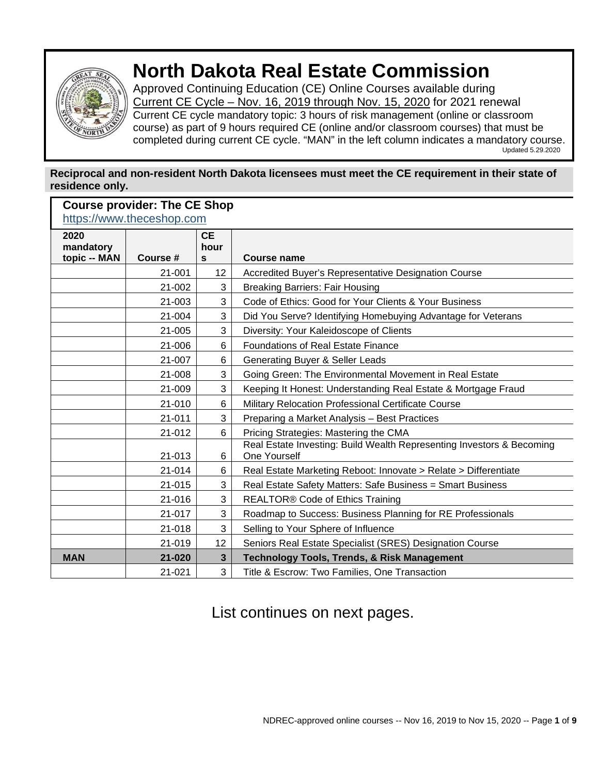

**Course provider: The CE Shop**

# **North Dakota Real Estate Commission**

Approved Continuing Education (CE) Online Courses available during Current CE Cycle – Nov. 16, 2019 through Nov. 15, 2020 for 2021 renewal Current CE cycle mandatory topic: 3 hours of risk management (online or classroom course) as part of 9 hours required CE (online and/or classroom courses) that must be completed during current CE cycle. "MAN" in the left column indicates a mandatory course.<br>Updated 5.29.2020

#### **Reciprocal and non-resident North Dakota licensees must meet the CE requirement in their state of residence only.**

| Course provider. The CE SHOP<br>https://www.theceshop.com |          |                                   |                                                                                       |  |  |
|-----------------------------------------------------------|----------|-----------------------------------|---------------------------------------------------------------------------------------|--|--|
| 2020<br>mandatory<br>topic -- MAN                         | Course # | <b>CE</b><br>hour<br>$\mathbf{s}$ | <b>Course name</b>                                                                    |  |  |
|                                                           | 21-001   | 12                                | Accredited Buyer's Representative Designation Course                                  |  |  |
|                                                           | 21-002   | 3                                 | <b>Breaking Barriers: Fair Housing</b>                                                |  |  |
|                                                           | 21-003   | 3                                 | Code of Ethics: Good for Your Clients & Your Business                                 |  |  |
|                                                           | 21-004   | 3                                 | Did You Serve? Identifying Homebuying Advantage for Veterans                          |  |  |
|                                                           | 21-005   | 3                                 | Diversity: Your Kaleidoscope of Clients                                               |  |  |
|                                                           | 21-006   | 6                                 | <b>Foundations of Real Estate Finance</b>                                             |  |  |
|                                                           | 21-007   | 6                                 | Generating Buyer & Seller Leads                                                       |  |  |
|                                                           | 21-008   | 3                                 | Going Green: The Environmental Movement in Real Estate                                |  |  |
|                                                           | 21-009   | 3                                 | Keeping It Honest: Understanding Real Estate & Mortgage Fraud                         |  |  |
|                                                           | 21-010   | 6                                 | Military Relocation Professional Certificate Course                                   |  |  |
|                                                           | 21-011   | 3                                 | Preparing a Market Analysis - Best Practices                                          |  |  |
|                                                           | 21-012   | 6                                 | Pricing Strategies: Mastering the CMA                                                 |  |  |
|                                                           | 21-013   | 6                                 | Real Estate Investing: Build Wealth Representing Investors & Becoming<br>One Yourself |  |  |
|                                                           | 21-014   | 6                                 | Real Estate Marketing Reboot: Innovate > Relate > Differentiate                       |  |  |
|                                                           | 21-015   | 3                                 | Real Estate Safety Matters: Safe Business = Smart Business                            |  |  |
|                                                           | 21-016   | 3                                 | <b>REALTOR® Code of Ethics Training</b>                                               |  |  |
|                                                           | 21-017   | 3                                 | Roadmap to Success: Business Planning for RE Professionals                            |  |  |
|                                                           | 21-018   | 3                                 | Selling to Your Sphere of Influence                                                   |  |  |
|                                                           | 21-019   | 12                                | Seniors Real Estate Specialist (SRES) Designation Course                              |  |  |
| <b>MAN</b>                                                | 21-020   | $\overline{\mathbf{3}}$           | <b>Technology Tools, Trends, &amp; Risk Management</b>                                |  |  |
|                                                           | 21-021   | 3                                 | Title & Escrow: Two Families, One Transaction                                         |  |  |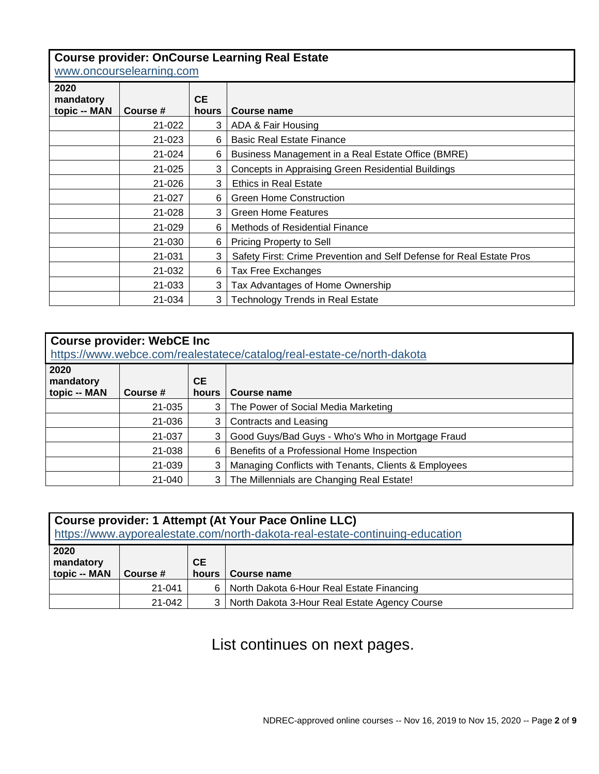#### **Course provider: OnCourse Learning Real Estate**

[www.oncourselearning.com](http://www.oncourselearning.com/)

| 2020<br>mandatory<br>topic -- MAN | Course #   | <b>CE</b><br>hours | Course name                                                          |  |  |
|-----------------------------------|------------|--------------------|----------------------------------------------------------------------|--|--|
|                                   | 21-022     | 3                  | ADA & Fair Housing                                                   |  |  |
|                                   | 21-023     | 6                  | <b>Basic Real Estate Finance</b>                                     |  |  |
|                                   | 21-024     | 6                  | Business Management in a Real Estate Office (BMRE)                   |  |  |
|                                   | $21 - 025$ | 3                  | <b>Concepts in Appraising Green Residential Buildings</b>            |  |  |
|                                   | 21-026     | 3                  | <b>Ethics in Real Estate</b>                                         |  |  |
|                                   | 21-027     | 6                  | <b>Green Home Construction</b>                                       |  |  |
|                                   | 21-028     | 3                  | <b>Green Home Features</b>                                           |  |  |
|                                   | 21-029     | 6                  | <b>Methods of Residential Finance</b>                                |  |  |
|                                   | 21-030     | 6                  | Pricing Property to Sell                                             |  |  |
|                                   | 21-031     | 3                  | Safety First: Crime Prevention and Self Defense for Real Estate Pros |  |  |
|                                   | 21-032     | 6                  | Tax Free Exchanges                                                   |  |  |
|                                   | 21-033     | 3                  | Tax Advantages of Home Ownership                                     |  |  |
|                                   | 21-034     | 3                  | <b>Technology Trends in Real Estate</b>                              |  |  |

| <b>Course provider: WebCE Inc</b><br>https://www.webce.com/realestatece/catalog/real-estate-ce/north-dakota |          |                    |                                                      |  |
|-------------------------------------------------------------------------------------------------------------|----------|--------------------|------------------------------------------------------|--|
| 2020<br>mandatory<br>topic -- MAN                                                                           | Course # | <b>CE</b><br>hours | Course name                                          |  |
|                                                                                                             | 21-035   | 3                  | The Power of Social Media Marketing                  |  |
|                                                                                                             | 21-036   | 3                  | <b>Contracts and Leasing</b>                         |  |
|                                                                                                             | 21-037   | 3                  | Good Guys/Bad Guys - Who's Who in Mortgage Fraud     |  |
|                                                                                                             | 21-038   | 6                  | Benefits of a Professional Home Inspection           |  |
|                                                                                                             | 21-039   | 3                  | Managing Conflicts with Tenants, Clients & Employees |  |
|                                                                                                             | 21-040   | 3                  | The Millennials are Changing Real Estate!            |  |

| Course provider: 1 Attempt (At Your Pace Online LLC)<br>https://www.ayporealestate.com/north-dakota-real-estate-continuing-education |          |                    |                                               |  |
|--------------------------------------------------------------------------------------------------------------------------------------|----------|--------------------|-----------------------------------------------|--|
| 2020<br>mandatory<br>topic -- MAN                                                                                                    | Course # | <b>CE</b><br>hours | Course name                                   |  |
|                                                                                                                                      | 21-041   | 6.                 | North Dakota 6-Hour Real Estate Financing     |  |
|                                                                                                                                      | 21-042   |                    | North Dakota 3-Hour Real Estate Agency Course |  |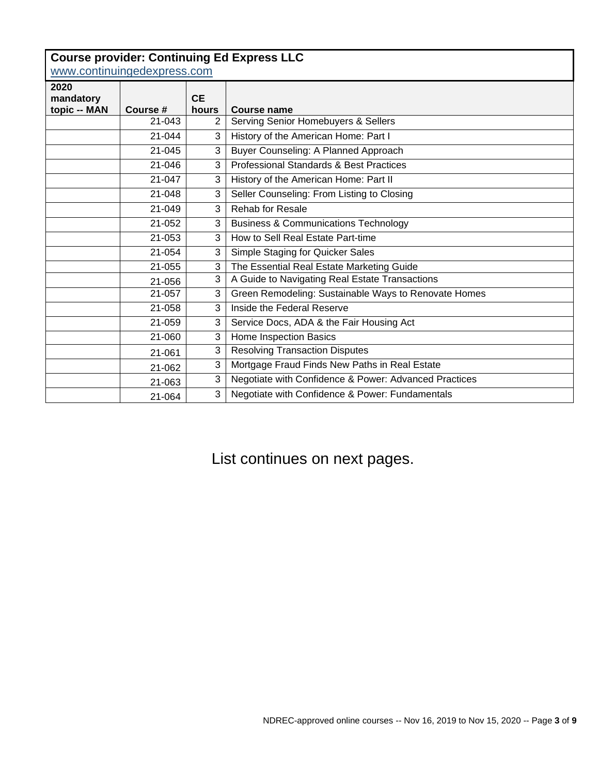|                             | <b>Course provider: Continuing Ed Express LLC</b> |           |                                                       |  |  |  |
|-----------------------------|---------------------------------------------------|-----------|-------------------------------------------------------|--|--|--|
| www.continuingedexpress.com |                                                   |           |                                                       |  |  |  |
| 2020<br>mandatory           |                                                   | <b>CE</b> |                                                       |  |  |  |
| topic -- MAN                | Course #                                          | hours     | Course name                                           |  |  |  |
|                             | 21-043                                            | 2         | Serving Senior Homebuyers & Sellers                   |  |  |  |
|                             | 21-044                                            | 3         | History of the American Home: Part I                  |  |  |  |
|                             | 21-045                                            | 3         | Buyer Counseling: A Planned Approach                  |  |  |  |
|                             | 21-046                                            | 3         | <b>Professional Standards &amp; Best Practices</b>    |  |  |  |
|                             | 21-047                                            | 3         | History of the American Home: Part II                 |  |  |  |
|                             | 21-048                                            | 3         | Seller Counseling: From Listing to Closing            |  |  |  |
|                             | 21-049                                            | 3         | Rehab for Resale                                      |  |  |  |
|                             | 21-052                                            | 3         | <b>Business &amp; Communications Technology</b>       |  |  |  |
|                             | 21-053                                            | 3         | How to Sell Real Estate Part-time                     |  |  |  |
|                             | 21-054                                            | 3         | Simple Staging for Quicker Sales                      |  |  |  |
|                             | 21-055                                            | 3         | The Essential Real Estate Marketing Guide             |  |  |  |
|                             | 21-056                                            | 3         | A Guide to Navigating Real Estate Transactions        |  |  |  |
|                             | 21-057                                            | 3         | Green Remodeling: Sustainable Ways to Renovate Homes  |  |  |  |
|                             | 21-058                                            | 3         | Inside the Federal Reserve                            |  |  |  |
|                             | 21-059                                            | 3         | Service Docs, ADA & the Fair Housing Act              |  |  |  |
|                             | 21-060                                            | 3         | Home Inspection Basics                                |  |  |  |
|                             | 21-061                                            | 3         | <b>Resolving Transaction Disputes</b>                 |  |  |  |
|                             | 21-062                                            | 3         | Mortgage Fraud Finds New Paths in Real Estate         |  |  |  |
|                             | 21-063                                            | 3         | Negotiate with Confidence & Power: Advanced Practices |  |  |  |
|                             | 21-064                                            | 3         | Negotiate with Confidence & Power: Fundamentals       |  |  |  |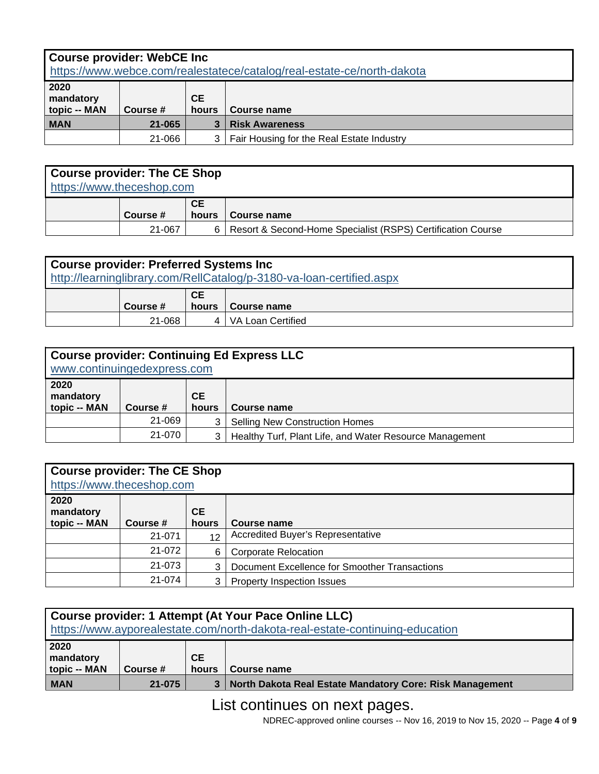| <b>Course provider: WebCE Inc</b><br>https://www.webce.com/realestatece/catalog/real-estate-ce/north-dakota |                                               |   |                                           |  |
|-------------------------------------------------------------------------------------------------------------|-----------------------------------------------|---|-------------------------------------------|--|
| 2020<br>mandatory<br>topic -- MAN                                                                           | <b>CE</b><br>Course #<br>hours<br>Course name |   |                                           |  |
| <b>MAN</b>                                                                                                  | 21-065                                        |   | <b>Risk Awareness</b>                     |  |
|                                                                                                             | 21-066                                        | 3 | Fair Housing for the Real Estate Industry |  |

| <b>Course provider: The CE Shop</b><br>https://www.theceshop.com |          |                    |                                                             |  |
|------------------------------------------------------------------|----------|--------------------|-------------------------------------------------------------|--|
|                                                                  | Course # | <b>CE</b><br>hours | Course name                                                 |  |
|                                                                  | 21-067   | 6.                 | Resort & Second-Home Specialist (RSPS) Certification Course |  |

| <b>Course provider: Preferred Systems Inc.</b><br>http://learninglibrary.com/RellCatalog/p-3180-va-loan-certified.aspx |          |                    |                   |  |
|------------------------------------------------------------------------------------------------------------------------|----------|--------------------|-------------------|--|
|                                                                                                                        | Course # | <b>CE</b><br>hours | Course name       |  |
|                                                                                                                        | 21-068   | 4                  | VA Loan Certified |  |

| <b>Course provider: Continuing Ed Express LLC</b><br>www.continuingedexpress.com |          |                                    |                                                         |  |
|----------------------------------------------------------------------------------|----------|------------------------------------|---------------------------------------------------------|--|
| 2020<br>mandatory<br>topic -- MAN                                                | Course # | CE.<br>hours<br><b>Course name</b> |                                                         |  |
|                                                                                  | 21-069   | 3                                  | <b>Selling New Construction Homes</b>                   |  |
|                                                                                  | 21-070   | 3                                  | Healthy Turf, Plant Life, and Water Resource Management |  |

| <b>Course provider: The CE Shop</b><br>https://www.theceshop.com |          |                    |                                               |  |
|------------------------------------------------------------------|----------|--------------------|-----------------------------------------------|--|
| 2020<br>mandatory<br>topic -- MAN                                | Course # | <b>CE</b><br>hours | Course name                                   |  |
|                                                                  | 21-071   | 12                 | <b>Accredited Buyer's Representative</b>      |  |
|                                                                  | 21-072   | 6                  | Corporate Relocation                          |  |
|                                                                  | 21-073   |                    | Document Excellence for Smoother Transactions |  |
|                                                                  | 21-074   |                    | <b>Property Inspection Issues</b>             |  |

| Course provider: 1 Attempt (At Your Pace Online LLC)<br>https://www.ayporealestate.com/north-dakota-real-estate-continuing-education |          |                    |                                                            |
|--------------------------------------------------------------------------------------------------------------------------------------|----------|--------------------|------------------------------------------------------------|
| 2020<br>mandatory<br>topic -- MAN                                                                                                    | Course # | <b>CE</b><br>hours | Course name                                                |
| <b>MAN</b>                                                                                                                           | 21-075   |                    | 3 North Dakota Real Estate Mandatory Core: Risk Management |

NDREC-approved online courses -- Nov 16, 2019 to Nov 15, 2020 -- Page **4** of **9**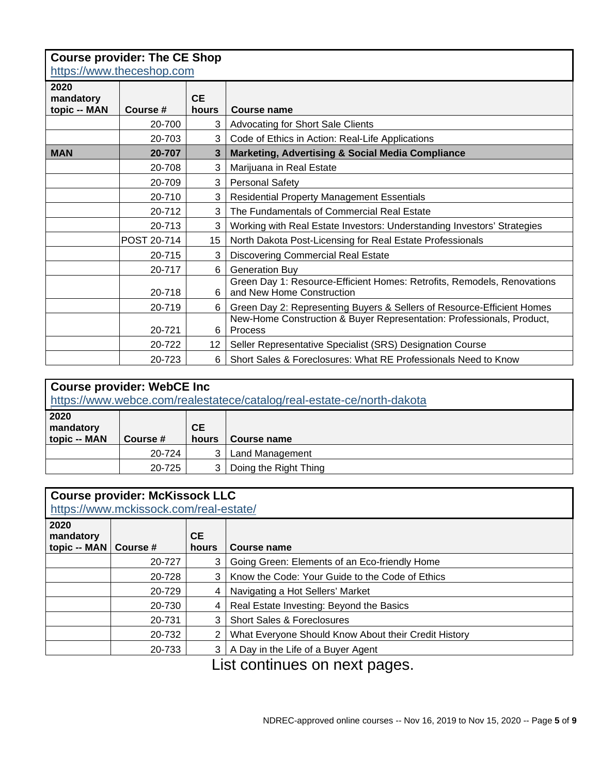|                                   | <b>Course provider: The CE Shop</b><br>https://www.theceshop.com |                    |                                                                                                      |  |  |  |
|-----------------------------------|------------------------------------------------------------------|--------------------|------------------------------------------------------------------------------------------------------|--|--|--|
| 2020<br>mandatory<br>topic -- MAN | Course #                                                         | <b>CE</b><br>hours | Course name                                                                                          |  |  |  |
|                                   | 20-700                                                           | 3                  | <b>Advocating for Short Sale Clients</b>                                                             |  |  |  |
|                                   | 20-703                                                           | 3                  | Code of Ethics in Action: Real-Life Applications                                                     |  |  |  |
| <b>MAN</b>                        | 20-707                                                           | 3                  | <b>Marketing, Advertising &amp; Social Media Compliance</b>                                          |  |  |  |
|                                   | 20-708                                                           | 3                  | Marijuana in Real Estate                                                                             |  |  |  |
|                                   | 20-709                                                           | 3                  | <b>Personal Safety</b>                                                                               |  |  |  |
|                                   | 20-710                                                           | 3                  | <b>Residential Property Management Essentials</b>                                                    |  |  |  |
|                                   | 20-712                                                           | 3                  | The Fundamentals of Commercial Real Estate                                                           |  |  |  |
|                                   | 20-713                                                           | 3                  | Working with Real Estate Investors: Understanding Investors' Strategies                              |  |  |  |
|                                   | POST 20-714                                                      | 15                 | North Dakota Post-Licensing for Real Estate Professionals                                            |  |  |  |
|                                   | 20-715                                                           | 3                  | <b>Discovering Commercial Real Estate</b>                                                            |  |  |  |
|                                   | 20-717                                                           | 6                  | <b>Generation Buy</b>                                                                                |  |  |  |
|                                   | 20-718                                                           | 6                  | Green Day 1: Resource-Efficient Homes: Retrofits, Remodels, Renovations<br>and New Home Construction |  |  |  |
|                                   | 20-719                                                           | 6                  | Green Day 2: Representing Buyers & Sellers of Resource-Efficient Homes                               |  |  |  |
|                                   | 20-721                                                           | 6                  | New-Home Construction & Buyer Representation: Professionals, Product,<br>Process                     |  |  |  |
|                                   | 20-722                                                           | 12 <sup>°</sup>    | Seller Representative Specialist (SRS) Designation Course                                            |  |  |  |
|                                   | 20-723                                                           | 6                  | Short Sales & Foreclosures: What RE Professionals Need to Know                                       |  |  |  |

| <b>Course provider: WebCE Inc</b><br>https://www.webce.com/realestatece/catalog/real-estate-ce/north-dakota |          |              |                       |  |  |
|-------------------------------------------------------------------------------------------------------------|----------|--------------|-----------------------|--|--|
| 2020<br>mandatory<br>topic -- MAN                                                                           | Course # | CE.<br>hours | <b>Course name</b>    |  |  |
|                                                                                                             | 20-724   | 3            | Land Management       |  |  |
|                                                                                                             | 20-725   | 3            | Doing the Right Thing |  |  |

| <b>Course provider: McKissock LLC</b><br>https://www.mckissock.com/real-estate/ |        |              |                                                      |  |
|---------------------------------------------------------------------------------|--------|--------------|------------------------------------------------------|--|
| 2020<br>mandatory<br>topic -- MAN   Course #                                    |        | CE.<br>hours | Course name                                          |  |
|                                                                                 | 20-727 | 3            | Going Green: Elements of an Eco-friendly Home        |  |
|                                                                                 | 20-728 | 3            | Know the Code: Your Guide to the Code of Ethics      |  |
|                                                                                 | 20-729 | 4            | Navigating a Hot Sellers' Market                     |  |
|                                                                                 | 20-730 | 4            | Real Estate Investing: Beyond the Basics             |  |
|                                                                                 | 20-731 | 3            | <b>Short Sales &amp; Foreclosures</b>                |  |
|                                                                                 | 20-732 | 2            | What Everyone Should Know About their Credit History |  |
|                                                                                 | 20-733 | 3            | A Day in the Life of a Buyer Agent                   |  |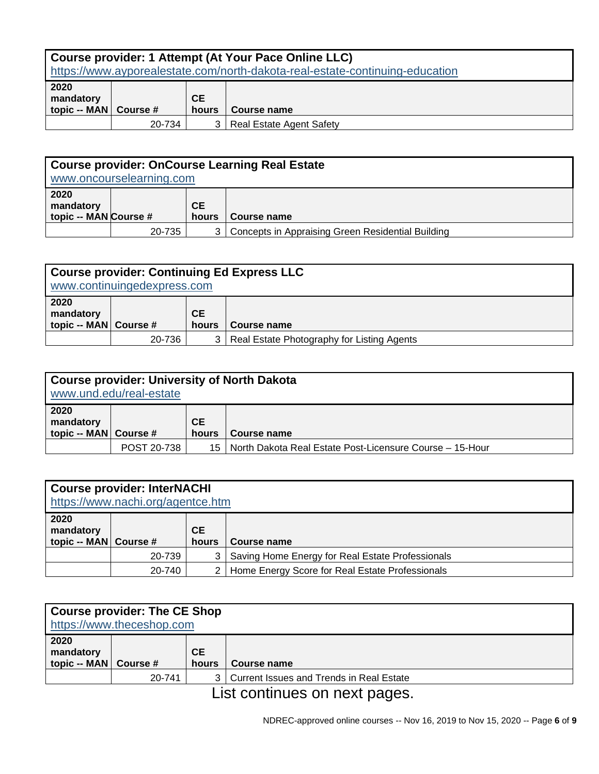| Course provider: 1 Attempt (At Your Pace Online LLC)<br>https://www.ayporealestate.com/north-dakota-real-estate-continuing-education |        |              |                                 |  |
|--------------------------------------------------------------------------------------------------------------------------------------|--------|--------------|---------------------------------|--|
| 2020<br>mandatory<br>topic -- MAN   Course #                                                                                         |        | CE.<br>hours | Course name                     |  |
|                                                                                                                                      | 20-734 | 3            | <b>Real Estate Agent Safety</b> |  |

| Course provider: OnCourse Learning Real Estate<br>www.oncourselearning.com |        |              |                                                   |  |
|----------------------------------------------------------------------------|--------|--------------|---------------------------------------------------|--|
| 2020<br>mandatory<br>topic -- MAN Course #                                 |        | CE.<br>hours | Course name                                       |  |
|                                                                            | 20-735 | 3            | Concepts in Appraising Green Residential Building |  |

| Course provider: Continuing Ed Express LLC<br>www.continuingedexpress.com |        |              |                                            |  |
|---------------------------------------------------------------------------|--------|--------------|--------------------------------------------|--|
| 2020<br>mandatory<br>topic -- MAN Course #                                |        | CE.<br>hours | Course name                                |  |
|                                                                           | 20-736 | 3            | Real Estate Photography for Listing Agents |  |

| Course provider: University of North Dakota<br>www.und.edu/real-estate |                    |                    |                                                               |  |
|------------------------------------------------------------------------|--------------------|--------------------|---------------------------------------------------------------|--|
| 2020<br>mandatory<br>topic -- MAN Course #                             |                    | <b>CE</b><br>hours | Course name                                                   |  |
|                                                                        | <b>POST 20-738</b> |                    | 15   North Dakota Real Estate Post-Licensure Course – 15-Hour |  |

| <b>Course provider: InterNACHI</b><br>https://www.nachi.org/agentce.htm |        |              |                                                  |  |  |
|-------------------------------------------------------------------------|--------|--------------|--------------------------------------------------|--|--|
| 2020<br>mandatory<br>topic -- MAN   Course #                            |        | CE.<br>hours | Course name                                      |  |  |
|                                                                         | 20-739 | 3            | Saving Home Energy for Real Estate Professionals |  |  |
|                                                                         | 20-740 | 2            | Home Energy Score for Real Estate Professionals  |  |  |

| <b>Course provider: The CE Shop</b><br>https://www.theceshop.com |        |                    |                                          |  |
|------------------------------------------------------------------|--------|--------------------|------------------------------------------|--|
| 2020<br>mandatory<br>topic -- MAN   Course #                     |        | <b>CE</b><br>hours | Course name                              |  |
|                                                                  | 20-741 | 3 I                | Current Issues and Trends in Real Estate |  |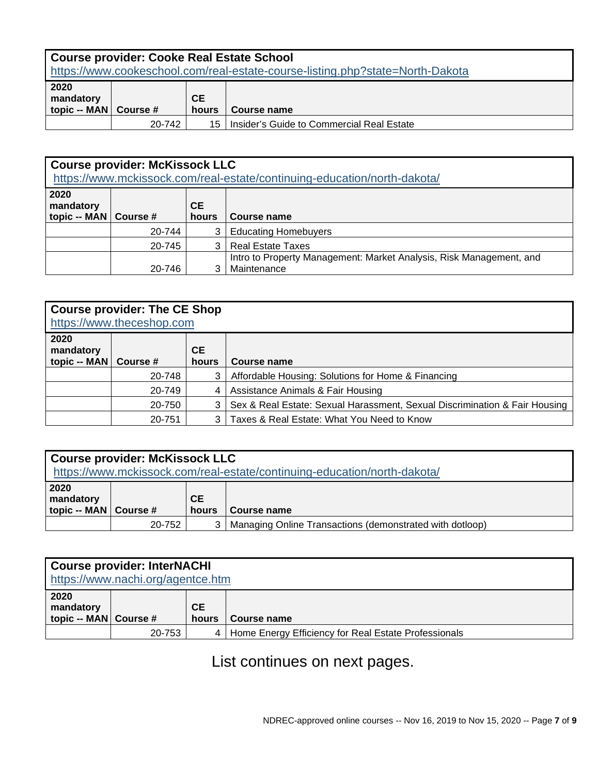| <b>Course provider: Cooke Real Estate School</b><br>https://www.cookeschool.com/real-estate-course-listing.php?state=North-Dakota |        |                    |                                           |  |
|-----------------------------------------------------------------------------------------------------------------------------------|--------|--------------------|-------------------------------------------|--|
| 2020<br>mandatory<br>topic -- MAN   Course #                                                                                      |        | <b>CE</b><br>hours | Course name                               |  |
|                                                                                                                                   | 20-742 | 15                 | Insider's Guide to Commercial Real Estate |  |

| <b>Course provider: McKissock LLC</b><br>https://www.mckissock.com/real-estate/continuing-education/north-dakota/ |        |              |                                                                                    |  |  |
|-------------------------------------------------------------------------------------------------------------------|--------|--------------|------------------------------------------------------------------------------------|--|--|
| 2020<br>mandatory<br>topic -- MAN   Course #                                                                      |        | CE.<br>hours | Course name                                                                        |  |  |
|                                                                                                                   | 20-744 | 3            | <b>Educating Homebuyers</b>                                                        |  |  |
|                                                                                                                   | 20-745 | 3            | <b>Real Estate Taxes</b>                                                           |  |  |
|                                                                                                                   | 20-746 | 3            | Intro to Property Management: Market Analysis, Risk Management, and<br>Maintenance |  |  |

| <b>Course provider: The CE Shop</b><br>https://www.theceshop.com |          |              |                                                                            |  |
|------------------------------------------------------------------|----------|--------------|----------------------------------------------------------------------------|--|
| 2020<br>mandatory<br>topic -- MAN                                | Course # | CE.<br>hours | Course name                                                                |  |
|                                                                  | 20-748   | 3            | Affordable Housing: Solutions for Home & Financing                         |  |
|                                                                  | 20-749   | 4            | Assistance Animals & Fair Housing                                          |  |
|                                                                  | 20-750   | 3            | Sex & Real Estate: Sexual Harassment, Sexual Discrimination & Fair Housing |  |
|                                                                  | 20-751   | 3            | Taxes & Real Estate: What You Need to Know                                 |  |

| <b>Course provider: McKissock LLC</b><br>https://www.mckissock.com/real-estate/continuing-education/north-dakota/ |        |                    |                                                          |  |
|-------------------------------------------------------------------------------------------------------------------|--------|--------------------|----------------------------------------------------------|--|
| 2020<br>mandatory<br>topic -- MAN   Course #                                                                      |        | <b>CE</b><br>hours | Course name                                              |  |
|                                                                                                                   | 20-752 | 3                  | Managing Online Transactions (demonstrated with dotloop) |  |

| <b>Course provider: InterNACHI</b><br>https://www.nachi.org/agentce.htm |        |                    |                                                      |  |  |
|-------------------------------------------------------------------------|--------|--------------------|------------------------------------------------------|--|--|
| 2020<br>mandatory<br>topic -- MAN Course #                              |        | <b>CE</b><br>hours | Course name                                          |  |  |
|                                                                         | 20-753 | 4                  | Home Energy Efficiency for Real Estate Professionals |  |  |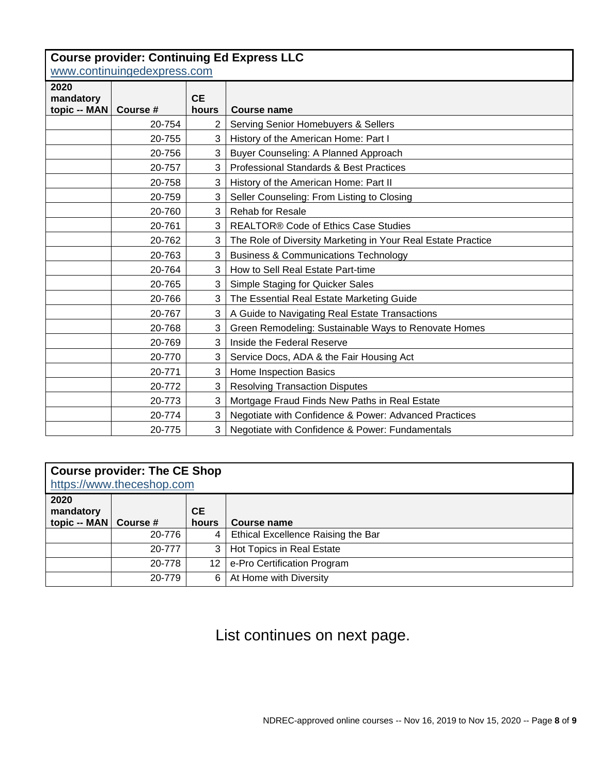### **Course provider: Continuing Ed Express LLC**

[www.continuingedexpress.com](http://www.continuingedexpress.com/)

| <u>WWW.CONUNIUMIQUUADIUSS.COM</u> |          |                    |                                                              |  |
|-----------------------------------|----------|--------------------|--------------------------------------------------------------|--|
| 2020                              |          |                    |                                                              |  |
| mandatory<br>topic -- MAN         | Course # | <b>CE</b><br>hours | <b>Course name</b>                                           |  |
|                                   | 20-754   | 2                  | Serving Senior Homebuyers & Sellers                          |  |
|                                   | 20-755   | 3                  | History of the American Home: Part I                         |  |
|                                   | 20-756   | 3                  | Buyer Counseling: A Planned Approach                         |  |
|                                   | 20-757   | 3                  | <b>Professional Standards &amp; Best Practices</b>           |  |
|                                   | 20-758   | 3                  | History of the American Home: Part II                        |  |
|                                   | 20-759   | 3                  | Seller Counseling: From Listing to Closing                   |  |
|                                   | 20-760   | 3                  | <b>Rehab for Resale</b>                                      |  |
|                                   | 20-761   | 3                  | <b>REALTOR® Code of Ethics Case Studies</b>                  |  |
|                                   | 20-762   | 3                  | The Role of Diversity Marketing in Your Real Estate Practice |  |
|                                   | 20-763   | 3                  | <b>Business &amp; Communications Technology</b>              |  |
|                                   | 20-764   | 3                  | How to Sell Real Estate Part-time                            |  |
|                                   | 20-765   | 3                  | Simple Staging for Quicker Sales                             |  |
|                                   | 20-766   | 3                  | The Essential Real Estate Marketing Guide                    |  |
|                                   | 20-767   | 3                  | A Guide to Navigating Real Estate Transactions               |  |
|                                   | 20-768   | 3                  | Green Remodeling: Sustainable Ways to Renovate Homes         |  |
|                                   | 20-769   | 3                  | Inside the Federal Reserve                                   |  |
|                                   | 20-770   | 3                  | Service Docs, ADA & the Fair Housing Act                     |  |
|                                   | 20-771   | 3                  | Home Inspection Basics                                       |  |
|                                   | 20-772   | 3                  | <b>Resolving Transaction Disputes</b>                        |  |
|                                   | 20-773   | 3                  | Mortgage Fraud Finds New Paths in Real Estate                |  |
|                                   | 20-774   | 3                  | Negotiate with Confidence & Power: Advanced Practices        |  |
|                                   | 20-775   | 3                  | Negotiate with Confidence & Power: Fundamentals              |  |

### **Course provider: The CE Shop**

| https://www.theceshop.com                    |        |              |                                    |  |  |  |
|----------------------------------------------|--------|--------------|------------------------------------|--|--|--|
| 2020<br>mandatory<br>topic -- MAN   Course # |        | CE.<br>hours | Course name                        |  |  |  |
|                                              | 20-776 | 4            | Ethical Excellence Raising the Bar |  |  |  |
|                                              | 20-777 | 3            | Hot Topics in Real Estate          |  |  |  |
|                                              | 20-778 | 12           | e-Pro Certification Program        |  |  |  |
|                                              | 20-779 | 6            | At Home with Diversity             |  |  |  |